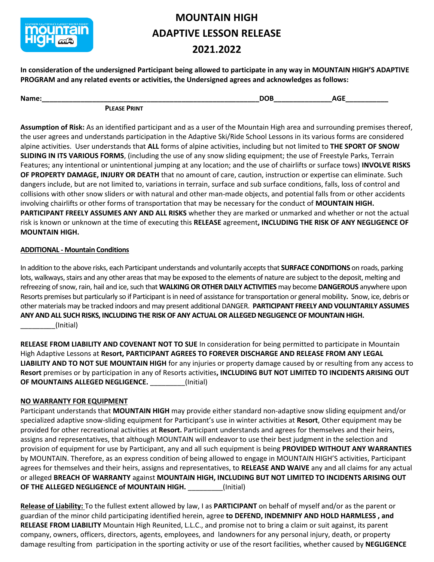

## **MOUNTAIN HIGH ADAPTIVE LESSON RELEASE 2021.2022**

**In consideration of the undersigned Participant being allowed to participate in any way in MOUNTAIN HIGH'S ADAPTIVE PROGRAM and any related events or activities, the Undersigned agrees and acknowledges as follows:**

| Name: |                     | חר<br>- | $-$ |
|-------|---------------------|---------|-----|
|       | <b>PLEASE PRINT</b> |         |     |

**Assumption of Risk:** As an identified participant and as a user of the Mountain High area and surrounding premises thereof, the user agrees and understands participation in the Adaptive Ski/Ride School Lessons in its various forms are considered alpine activities. User understands that **ALL** forms of alpine activities, including but not limited to **THE SPORT OF SNOW SLIDING IN ITS VARIOUS FORMS**, (including the use of any snow sliding equipment; the use of Freestyle Parks, Terrain Features; any intentional or unintentional jumping at any location; and the use of chairlifts or surface tows) **INVOLVE RISKS OF PROPERTY DAMAGE, INJURY OR DEATH** that no amount of care, caution, instruction or expertise can eliminate. Such dangers include, but are not limited to, variations in terrain, surface and sub surface conditions, falls, loss of control and collisions with other snow sliders or with natural and other man-made objects, and potential falls from or other accidents involving chairlifts or other forms of transportation that may be necessary for the conduct of **MOUNTAIN HIGH. PARTICIPANT FREELY ASSUMES ANY AND ALL RISKS** whether they are marked or unmarked and whether or not the actual risk is known or unknown at the time of executing this **RELEASE** agreement**, INCLUDING THE RISK OF ANY NEGLIGENCE OF MOUNTAIN HIGH.**

#### **ADDITIONAL - Mountain Conditions**

In addition to the above risks, each Participant understands and voluntarily accepts that **SURFACE CONDITIONS** on roads, parking lots, walkways, stairs and any other areas that may be exposed to the elements of nature are subject to the deposit, melting and refreezing of snow, rain, hail and ice, such that **WALKING OR OTHER DAILY ACTIVITIES** may become **DANGEROUS** anywhere upon Resorts premises but particularly so if Participant is in need of assistance for transportation or general mobility**.** Snow, ice, debris or other materials may be tracked indoors and may present additional DANGER. **PARTICIPANT FREELY AND VOLUNTARILY ASSUMES ANY AND ALL SUCH RISKS, INCLUDING THE RISK OF ANY ACTUAL OR ALLEGED NEGLIGENCE OF MOUNTAIN HIGH.** \_\_\_\_\_\_\_\_\_(Initial)

**RELEASE FROM LIABILITY AND COVENANT NOT TO SUE** In consideration for being permitted to participate in Mountain High Adaptive Lessons at **Resort, PARTICIPANT AGREES TO FOREVER DISCHARGE AND RELEASE FROM ANY LEGAL LIABILITY AND TO NOT SUE MOUNTAIN HIGH** for any injuries or property damage caused by or resulting from any access to **Resort** premises or by participation in any of Resorts activities**, INCLUDING BUT NOT LIMITED TO INCIDENTS ARISING OUT OF MOUNTAINS ALLEGED NEGLIGENCE.** \_\_\_\_\_\_\_\_\_(Initial)

#### **NO WARRANTY FOR EQUIPMENT**

Participant understands that **MOUNTAIN HIGH** may provide either standard non-adaptive snow sliding equipment and/or specialized adaptive snow-sliding equipment for Participant's use in winter activities at **Resort**, Other equipment may be provided for other recreational activities at **Resort.** Participant understands and agrees for themselves and their heirs, assigns and representatives, that although MOUNTAIN will endeavor to use their best judgment in the selection and provision of equipment for use by Participant, any and all such equipment is being **PROVIDED WITHOUT ANY WARRANTIES**  by MOUNTAIN. Therefore, as an express condition of being allowed to engage in MOUNTAIN HIGH'S activities, Participant agrees for themselves and their heirs, assigns and representatives, to **RELEASE AND WAIVE** any and all claims for any actual or alleged **BREACH OF WARRANTY** against **MOUNTAIN HIGH, INCLUDING BUT NOT LIMITED TO INCIDENTS ARISING OUT OF THE ALLEGED NEGLIGENCE of MOUNTAIN HIGH.** \_\_\_\_\_\_\_\_\_(Initial)

**Release of Liability:** To the fullest extent allowed by law, I as **PARTICIPANT** on behalf of myself and/or as the parent or guardian of the minor child participating identified herein, agree **to DEFEND, INDEMNIFY AND HOLD HARMLESS , and RELEASE FROM LIABILITY** Mountain High Reunited, L.L.C., and promise not to bring a claim or suit against, its parent company, owners, officers, directors, agents, employees, and landowners for any personal injury, death, or property damage resulting from participation in the sporting activity or use of the resort facilities, whether caused by **NEGLIGENCE**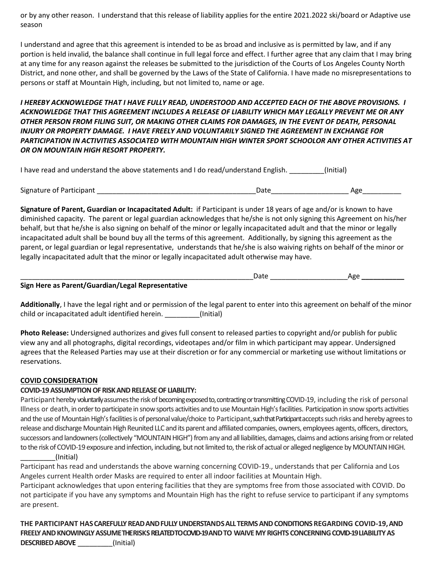or by any other reason. I understand that this release of liability applies for the entire 2021.2022 ski/board or Adaptive use season

I understand and agree that this agreement is intended to be as broad and inclusive as is permitted by law, and if any portion is held invalid, the balance shall continue in full legal force and effect. I further agree that any claim that I may bring at any time for any reason against the releases be submitted to the jurisdiction of the Courts of Los Angeles County North District, and none other, and shall be governed by the Laws of the State of California. I have made no misrepresentations to persons or staff at Mountain High, including, but not limited to, name or age.

*I HEREBY ACKNOWLEDGE THAT I HAVE FULLY READ, UNDERSTOOD AND ACCEPTED EACH OF THE ABOVE PROVISIONS. I ACKNOWLEDGE THAT THIS AGREEMENT INCLUDES A RELEASE OF LIABILITY WHICH MAY LEGALLY PREVENT ME OR ANY OTHER PERSON FROM FILING SUIT, OR MAKING OTHER CLAIMS FOR DAMAGES, IN THE EVENT OF DEATH, PERSONAL INJURY OR PROPERTY DAMAGE. I HAVE FREELY AND VOLUNTARILY SIGNED THE AGREEMENT IN EXCHANGE FOR PARTICIPATION IN ACTIVITIES ASSOCIATED WITH MOUNTAIN HIGH WINTER SPORT SCHOOLOR ANY OTHER ACTIVITIES AT OR ON MOUNTAIN HIGH RESORT PROPERTY.* 

| I have read and understand the above statements and I do read/understand English. | (Initial) |
|-----------------------------------------------------------------------------------|-----------|
|-----------------------------------------------------------------------------------|-----------|

Signature of Participant \_\_\_\_\_\_\_\_\_\_\_\_\_\_\_\_\_\_\_\_\_\_\_\_\_\_\_\_\_\_\_\_\_\_\_\_\_\_\_\_\_Date\_\_\_\_\_\_\_\_\_\_\_\_\_\_\_\_\_\_\_\_ Age\_\_\_\_\_\_\_\_\_\_

**Signature of Parent, Guardian or Incapacitated Adult:** if Participant is under 18 years of age and/or is known to have diminished capacity. The parent or legal guardian acknowledges that he/she is not only signing this Agreement on his/her behalf, but that he/she is also signing on behalf of the minor or legally incapacitated adult and that the minor or legally incapacitated adult shall be bound buy all the terms of this agreement. Additionally, by signing this agreement as the parent, or legal guardian or legal representative, understands that he/she is also waiving rights on behalf of the minor or legally incapacitated adult that the minor or legally incapacitated adult otherwise may have.

| Sign Here as Parent/Guardian/Legal Representative |  |
|---------------------------------------------------|--|

**Additionally**, I have the legal right and or permission of the legal parent to enter into this agreement on behalf of the minor child or incapacitated adult identified herein. \_\_\_\_\_\_\_\_\_(Initial)

**Photo Release:** Undersigned authorizes and gives full consent to released parties to copyright and/or publish for public view any and all photographs, digital recordings, videotapes and/or film in which participant may appear. Undersigned agrees that the Released Parties may use at their discretion or for any commercial or marketing use without limitations or reservations.

#### **COVID CONSIDERATION**

#### **COVID-19 ASSUMPTION OF RISK AND RELEASE OF LIABILITY:**

Participant hereby voluntarily assumes the risk of becoming exposed to, contracting or transmitting COVID-19, including the risk of personal Illness or death, in order to participate in snow sports activities and to use Mountain High's facilities. Participation in snow sports activities and the use of Mountain High's facilities is of personal value/choice to Participant, such that Participant accepts such risks and hereby agrees to release and discharge Mountain High Reunited LLC and its parent and affiliated companies, owners, employees agents, officers, directors, successors and landowners (collectively "MOUNTAIN HIGH") from any and all liabilities, damages, claims and actions arising from or related to the risk of COVID-19 exposure and infection, including, but not limited to, the risk of actual or alleged negligence by MOUNTAIN HIGH.

#### \_\_\_\_\_\_\_\_\_(Initial)

Participant has read and understands the above warning concerning COVID-19., understands that per California and Los Angeles current Health order Masks are required to enter all indoor facilities at Mountain High.

Participant acknowledges that upon entering facilities that they are symptoms free from those associated with COVID. Do not participate if you have any symptoms and Mountain High has the right to refuse service to participant if any symptoms are present.

**THE PARTICIPANT HASCAREFULLYREADANDFULLYUNDERSTANDSALLTERMS AND CONDITIONS REGARDING COVID-19,AND FREELYANDKNOWINGLYASSUMETHE RISKSRELATED TO COVID-19 ANDTO WAIVEMYRIGHTS CONCERNINGCOVID-19 LIABILITYAS DESCRIBEDABOVE** \_\_\_\_\_\_\_\_\_(Initial)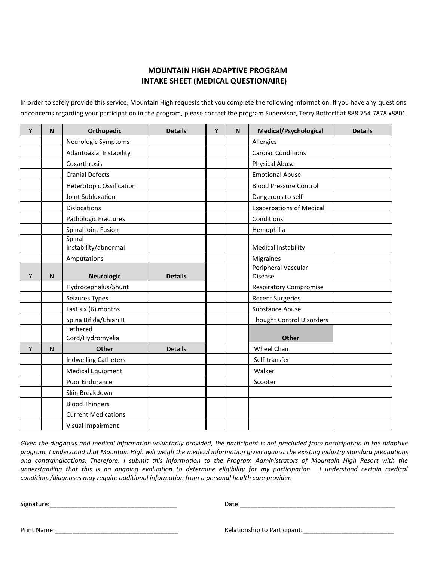#### **MOUNTAIN HIGH ADAPTIVE PROGRAM INTAKE SHEET (MEDICAL QUESTIONAIRE)**

In order to safely provide this service, Mountain High requests that you complete the following information. If you have any questions or concerns regarding your participation in the program, please contact the program Supervisor, Terry Bottorff at 888.754.7878 x8801.

| Y | N            | Orthopedic                          | <b>Details</b> | Y | N | <b>Medical/Psychological</b>          | <b>Details</b> |
|---|--------------|-------------------------------------|----------------|---|---|---------------------------------------|----------------|
|   |              | Neurologic Symptoms                 |                |   |   | Allergies                             |                |
|   |              | Atlantoaxial Instability            |                |   |   | <b>Cardiac Conditions</b>             |                |
|   |              | Coxarthrosis                        |                |   |   | <b>Physical Abuse</b>                 |                |
|   |              | <b>Cranial Defects</b>              |                |   |   | <b>Emotional Abuse</b>                |                |
|   |              | <b>Heterotopic Ossification</b>     |                |   |   | <b>Blood Pressure Control</b>         |                |
|   |              | Joint Subluxation                   |                |   |   | Dangerous to self                     |                |
|   |              | <b>Dislocations</b>                 |                |   |   | <b>Exacerbations of Medical</b>       |                |
|   |              | Pathologic Fractures                |                |   |   | Conditions                            |                |
|   |              | Spinal joint Fusion                 |                |   |   | Hemophilia                            |                |
|   |              | Spinal<br>Instability/abnormal      |                |   |   | <b>Medical Instability</b>            |                |
|   |              | Amputations                         |                |   |   | Migraines                             |                |
| Y | ${\sf N}$    | <b>Neurologic</b>                   | <b>Details</b> |   |   | Peripheral Vascular<br><b>Disease</b> |                |
|   |              | Hydrocephalus/Shunt                 |                |   |   | <b>Respiratory Compromise</b>         |                |
|   |              | Seizures Types                      |                |   |   | <b>Recent Surgeries</b>               |                |
|   |              | Last six (6) months                 |                |   |   | <b>Substance Abuse</b>                |                |
|   |              | Spina Bifida/Chiari II              |                |   |   | <b>Thought Control Disorders</b>      |                |
|   |              | <b>Tethered</b><br>Cord/Hydromyelia |                |   |   | <b>Other</b>                          |                |
| Y | $\mathsf{N}$ | <b>Other</b>                        | <b>Details</b> |   |   | <b>Wheel Chair</b>                    |                |
|   |              | <b>Indwelling Catheters</b>         |                |   |   | Self-transfer                         |                |
|   |              | <b>Medical Equipment</b>            |                |   |   | Walker                                |                |
|   |              | Poor Endurance                      |                |   |   | Scooter                               |                |
|   |              | Skin Breakdown                      |                |   |   |                                       |                |
|   |              | <b>Blood Thinners</b>               |                |   |   |                                       |                |
|   |              | <b>Current Medications</b>          |                |   |   |                                       |                |
|   |              | Visual Impairment                   |                |   |   |                                       |                |

*Given the diagnosis and medical information voluntarily provided, the participant is not precluded from participation in the adaptive program. I understand that Mountain High will weigh the medical information given against the existing industry standard precautions and contraindications. Therefore, I submit this information to the Program Administrators of Mountain High Resort with the understanding that this is an ongoing evaluation to determine eligibility for my participation. I understand certain medical conditions/diagnoses may require additional information from a personal health care provider.* 

Signature:\_\_\_\_\_\_\_\_\_\_\_\_\_\_\_\_\_\_\_\_\_\_\_\_\_\_\_\_\_\_\_\_\_\_\_\_ Date:\_\_\_\_\_\_\_\_\_\_\_\_\_\_\_\_\_\_\_\_\_\_\_\_\_\_\_\_\_\_\_\_\_\_\_\_\_\_\_\_\_\_\_\_

Print Name:\_\_\_\_\_\_\_\_\_\_\_\_\_\_\_\_\_\_\_\_\_\_\_\_\_\_\_\_\_\_\_\_\_\_\_ Relationship to Participant:\_\_\_\_\_\_\_\_\_\_\_\_\_\_\_\_\_\_\_\_\_\_\_\_\_\_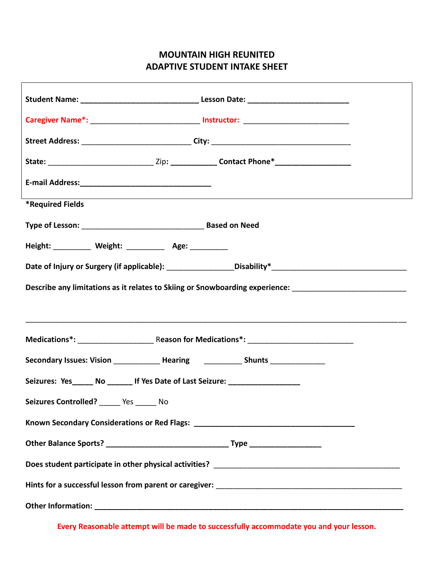### **MOUNTAIN HIGH REUNITED ADAPTIVE STUDENT INTAKE SHEET**

| Caregiver Name*: ______________________________ Instructor: ____________________  |                                                                                                                |  |  |  |
|-----------------------------------------------------------------------------------|----------------------------------------------------------------------------------------------------------------|--|--|--|
|                                                                                   |                                                                                                                |  |  |  |
|                                                                                   |                                                                                                                |  |  |  |
|                                                                                   |                                                                                                                |  |  |  |
| <b>*Required Fields</b>                                                           |                                                                                                                |  |  |  |
|                                                                                   |                                                                                                                |  |  |  |
| Height: __________ Weight: _________ Age: _________                               |                                                                                                                |  |  |  |
|                                                                                   |                                                                                                                |  |  |  |
|                                                                                   | Describe any limitations as it relates to Skiing or Snowboarding experience: _________________________________ |  |  |  |
|                                                                                   |                                                                                                                |  |  |  |
|                                                                                   |                                                                                                                |  |  |  |
| Secondary Issues: Vision ______________ Hearing _____________ Shunts ____________ |                                                                                                                |  |  |  |
| Seizures: Yes ______ No _______ If Yes Date of Last Seizure: ___________________  |                                                                                                                |  |  |  |
| Seizures Controlled? ______ Yes ______ No                                         |                                                                                                                |  |  |  |
| Known Secondary Considerations or Red Flags: ___________________________________  |                                                                                                                |  |  |  |
|                                                                                   |                                                                                                                |  |  |  |
|                                                                                   |                                                                                                                |  |  |  |
|                                                                                   |                                                                                                                |  |  |  |
|                                                                                   |                                                                                                                |  |  |  |

**Every Reasonable attempt will be made to successfully accommodate you and your lesson.**